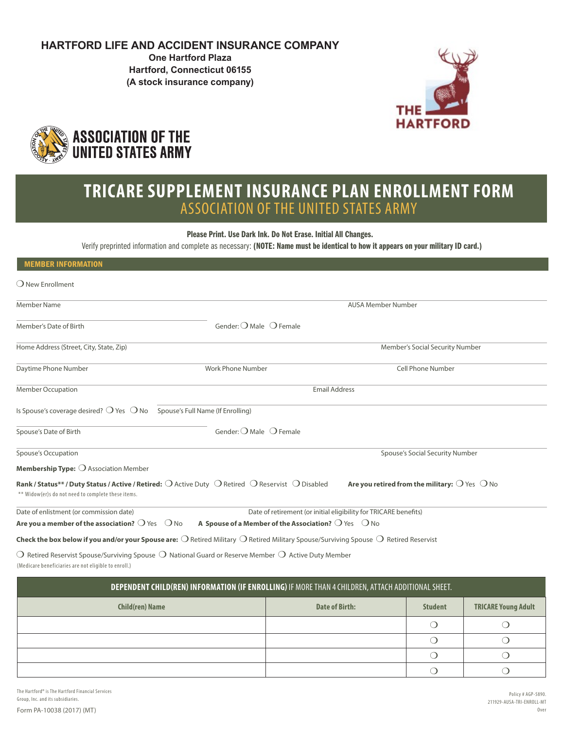# **HARTFORD LIFE AND ACCIDENT INSURANCE COMPANY**

**One Hartford Plaza Hartford, Connecticut 06155 (A stock insurance company)**





# **TRICARE SUPPLEMENT INSURANCE PLAN ENROLLMENT FORM** ASSOCIATION OF THE UNITED STATES ARMY

Please Print. Use Dark Ink. Do Not Erase. Initial All Changes.

Verify preprinted information and complete as necessary: (NOTE: Name must be identical to how it appears on your military ID card.)

| <b>MEMBER INFORMATION</b>                                                                                                                                       |                                                                       |                                                                  |
|-----------------------------------------------------------------------------------------------------------------------------------------------------------------|-----------------------------------------------------------------------|------------------------------------------------------------------|
| O New Enrollment                                                                                                                                                |                                                                       |                                                                  |
| <b>Member Name</b>                                                                                                                                              |                                                                       | <b>AUSA Member Number</b>                                        |
| Member's Date of Birth                                                                                                                                          | Gender: $O$ Male $O$ Female                                           |                                                                  |
| Home Address (Street, City, State, Zip)                                                                                                                         |                                                                       | Member's Social Security Number                                  |
| Daytime Phone Number                                                                                                                                            | Work Phone Number                                                     | <b>Cell Phone Number</b>                                         |
| <b>Member Occupation</b>                                                                                                                                        | <b>Email Address</b>                                                  |                                                                  |
| Is Spouse's coverage desired? $\bigcirc$ Yes $\bigcirc$ No Spouse's Full Name (If Enrolling)                                                                    |                                                                       |                                                                  |
| Spouse's Date of Birth                                                                                                                                          | Gender: $\bigcirc$ Male $\bigcirc$ Female                             |                                                                  |
| Spouse's Occupation                                                                                                                                             |                                                                       | Spouse's Social Security Number                                  |
| Membership Type: O Association Member                                                                                                                           |                                                                       |                                                                  |
| Rank / Status** / Duty Status / Active / Retired: O Active Duty O Retired O Reservist O Disabled<br>** Widow(er)s do not need to complete these items.          |                                                                       | Are you retired from the military: $\bigcirc$ Yes $\bigcirc$ No  |
| Date of enlistment (or commission date)                                                                                                                         |                                                                       | Date of retirement (or initial eligibility for TRICARE benefits) |
| Are you a member of the association? $\bigcirc$ Yes $\bigcirc$ No                                                                                               | A Spouse of a Member of the Association? $\bigcirc$ Yes $\bigcirc$ No |                                                                  |
| Check the box below if you and/or your Spouse are: $\bigcirc$ Retired Military $\bigcirc$ Retired Military Spouse/Surviving Spouse $\bigcirc$ Retired Reservist |                                                                       |                                                                  |

(Medicare beneficiaries are not eligible to enroll.)  $\bigcirc$  Retired Reservist Spouse/Surviving Spouse  $\bigcirc$  National Guard or Reserve Member  $\bigcirc$  Active Duty Member

| DEPENDENT CHILD(REN) INFORMATION (IF ENROLLING) IF MORE THAN 4 CHILDREN, ATTACH ADDITIONAL SHEET. |                |                |                            |
|---------------------------------------------------------------------------------------------------|----------------|----------------|----------------------------|
| <b>Child(ren) Name</b>                                                                            | Date of Birth: | <b>Student</b> | <b>TRICARE Young Adult</b> |
|                                                                                                   |                |                |                            |
|                                                                                                   |                |                |                            |
|                                                                                                   |                |                |                            |
|                                                                                                   |                |                |                            |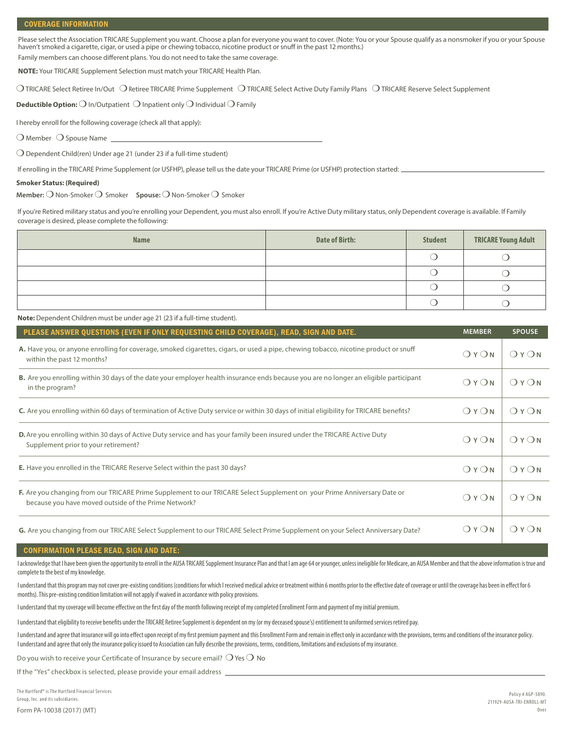Please select the Association TRICARE Supplement you want. Choose a plan for everyone you want to cover. (Note: You or your Spouse qualify as a nonsmoker if you or your Spouse haven't smoked a cigarette, cigar, or used a pipe or chewing tobacco, nicotine product or snuff in the past 12 months.)

Family members can choose different plans. You do not need to take the same coverage.

**NOTE:** Your TRICARE Supplement Selection must match your TRICARE Health Plan.

 $\bigcirc$  TRICARE Select Retiree In/Out  $\bigcirc$  Retiree TRICARE Prime Supplement  $\bigcirc$  TRICARE Select Active Duty Family Plans  $\bigcirc$  TRICARE Reserve Select Supplement

**Deductible Option:** ❍ In/Outpatient ❍ Inpatient only ❍ Individual ❍ Family

I hereby enroll for the following coverage (check all that apply):

 $\bigcirc$  Member  $\bigcirc$  Spouse Name

❍ Dependent Child(ren) Under age 21 (under 23 if a full-time student)

If enrolling in the TRICARE Prime Supplement (or USFHP), please tell us the date your TRICARE Prime (or USFHP) protection started:

#### **Smoker Status: (Required)**

**Member:** ❍ Non-Smoker ❍ Smoker **Spouse:** ❍ Non-Smoker ❍ Smoker

If you're Retired military status and you're enrolling your Dependent, you must also enroll. If you're Active Duty military status, only Dependent coverage is available. If Family coverage is desired, please complete the following:

| <b>Name</b> | <b>Date of Birth:</b> | <b>Student</b> | <b>TRICARE Young Adult</b> |
|-------------|-----------------------|----------------|----------------------------|
|             |                       |                |                            |
|             |                       |                |                            |
|             |                       |                |                            |
|             |                       |                |                            |

**Note:** Dependent Children must be under age 21 (23 if a full-time student).

| PLEASE ANSWER QUESTIONS (EVEN IF ONLY REQUESTING CHILD COVERAGE), READ, SIGN AND DATE.                                                                                           | <b>MEMBER</b> | <b>SPOUSE</b> |
|----------------------------------------------------------------------------------------------------------------------------------------------------------------------------------|---------------|---------------|
| A. Have you, or anyone enrolling for coverage, smoked cigarettes, cigars, or used a pipe, chewing tobacco, nicotine product or snuff<br>within the past 12 months?               | OYON          | OYON          |
| B. Are you enrolling within 30 days of the date your employer health insurance ends because you are no longer an eligible participant<br>in the program?                         | OYON          | OYON          |
| C. Are you enrolling within 60 days of termination of Active Duty service or within 30 days of initial eligibility for TRICARE benefits?                                         | OYON          | OYON          |
| <b>D.</b> Are you enrolling within 30 days of Active Duty service and has your family been insured under the TRICARE Active Duty<br>Supplement prior to your retirement?         | OYON          | OYON          |
| <b>E.</b> Have you enrolled in the TRICARE Reserve Select within the past 30 days?                                                                                               | OYON          | OYON          |
| F. Are you changing from our TRICARE Prime Supplement to our TRICARE Select Supplement on your Prime Anniversary Date or<br>because you have moved outside of the Prime Network? | OYON          | OYON          |
| G. Are you changing from our TRICARE Select Supplement to our TRICARE Select Prime Supplement on your Select Anniversary Date?                                                   | OYON          | OYON          |

#### CONFIRMATION PLEASE READ, SIGN AND DATE:

I acknowledge that I have been given the opportunity to enroll in the AUSA TRICARE Supplement Insurance Plan and that I am age 64 or younger, unless ineligible for Medicare, an AUSA Member and that the above information is complete to the best of my knowledge.

I understand that this program may not cover pre-existing conditions (conditions for which I received medical advice or treatment within 6 months prior to the effective date of coverage or until the coverage has been in ef months). This pre-existing condition limitation will not apply if waived in accordance with policy provisions.

I understand that my coverage will become effective on the first day of the month following receipt of my completed Enrollment Form and payment of my initial premium.

I understand that eligibility to receive benefits under the TRICARE Retiree Supplement is dependent on my (or my deceased spouse's) entitlement to uniformed services retired pay.

I understand and agree that insurance will go into effect upon receipt of my first premium payment and this Enrollment Form and remain in effect only in accordance with the provisions, terms and conditions of the insurance I understand and agree that only the insurance policy issued to Association can fully describe the provisions, terms, conditions, limitations and exclusions of my insurance.

Do you wish to receive your Certificate of Insurance by secure email?  $\bigcirc$  Yes  $\bigcirc$  No

If the "Yes" checkbox is selected, please provide your email address \_